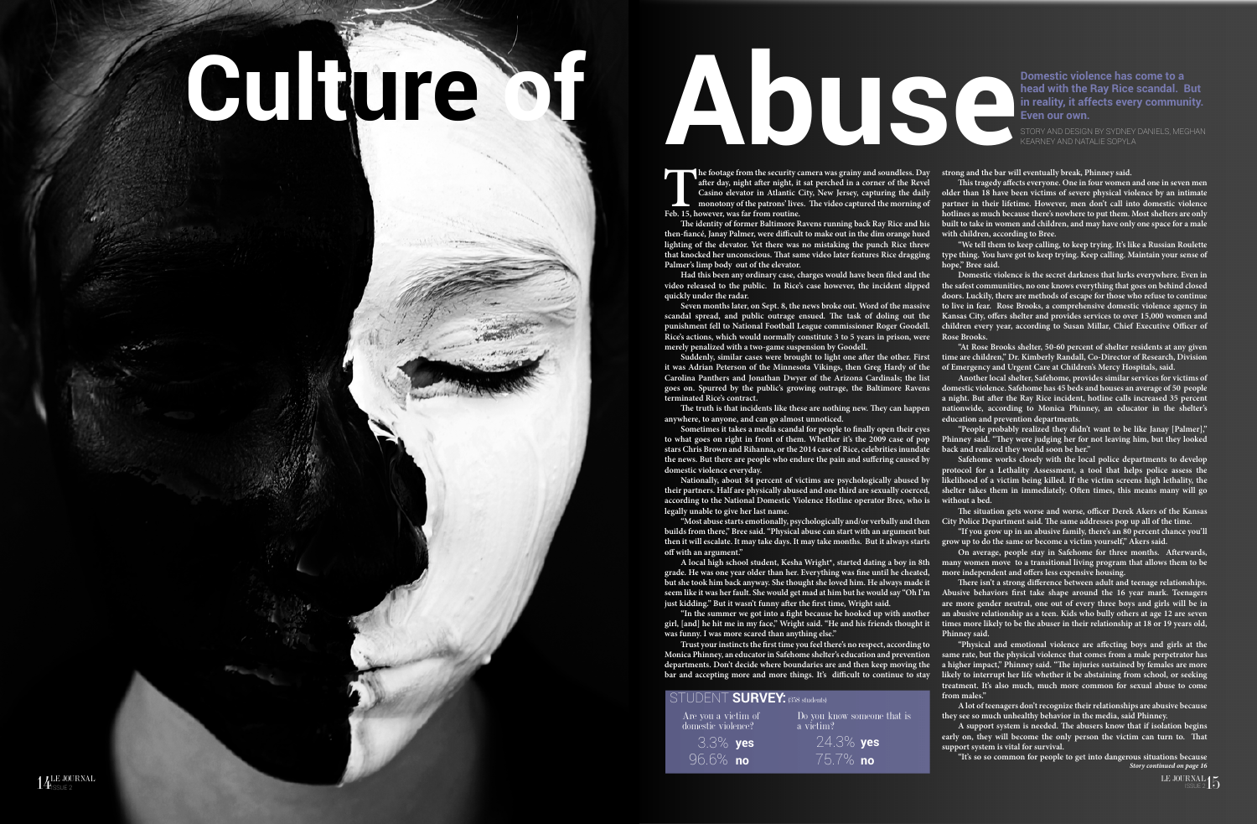## **Culture of Abuse**

14LE JOURNAL

The footage from the security camera was grainy and soundless. Day and the bar will eventually break, Phinney said.<br>
This tragedy affects everyone. One in four women<br>
Casino elevator in Atlantic City, New Jersey, capturing **after day, night after night, it sat perched in a corner of the Revel Casino elevator in Atlantic City, New Jersey, capturing the daily monotony of the patrons' lives. The video captured the morning of Feb. 15, however, was far from routine.** 

**The identity of former Baltimore Ravens running back Ray Rice and his then-fiancé, Janay Palmer, were difficult to make out in the dim orange hued lighting of the elevator. Yet there was no mistaking the punch Rice threw that knocked her unconscious. That same video later features Rice dragging Palmer's limp body out of the elevator.** 

**Had this been any ordinary case, charges would have been filed and the video released to the public. In Rice's case however, the incident slipped quickly under the radar.** 

**Seven months later, on Sept. 8, the news broke out. Word of the massive scandal spread, and public outrage ensued. The task of doling out the punishment fell to National Football League commissioner Roger Goodell. Rice's actions, which would normally constitute 3 to 5 years in prison, were Rose Brooks. merely penalized with a two-game suspension by Goodell.** 

**it was Adrian Peterson of the Minnesota Vikings, then Greg Hardy of the Carolina Panthers and Jonathan Dwyer of the Arizona Cardinals; the list goes on. Spurred by the public's growing outrage, the Baltimore Ravens terminated Rice's contract.**

**The truth is that incidents like these are nothing new. They can happen anywhere, to anyone, and can go almost unnoticed.** 

**Nationally, about 84 percent of victims are psychologically abused by their partners. Half are physically abused and one third are sexually coerced, according to the National Domestic Violence Hotline operator Bree, who is without a bed. legally unable to give her last name.** 

**grade. He was one year older than her. Everything was fine until he cheated, but she took him back anyway. She thought she loved him. He always made it** 

**Suddenly, similar cases were brought to light one after the other. First time are children," Dr. Kimberly Randall, Co-Director of Research, Division "At Rose Brooks shelter, 50-60 percent of shelter residents at any given of Emergency and Urgent Care at Children's Mercy Hospitals, said.**

**Trust your instincts the first time you feel there's no respect, according to Monica Phinney, an educator in Safehome shelter's education and prevention departments. Don't decide where boundaries are and then keep moving the bar and accepting more and more things. It's difficult to continue to stay** 

## JDENT **SURVEY:** (358 students)

**Sometimes it takes a media scandal for people to finally open their eyes to what goes on right in front of them. Whether it's the 2009 case of pop stars Chris Brown and Rihanna, or the 2014 case of Rice, celebrities inundate the news. But there are people who endure the pain and suffering caused by domestic violence everyday. "People probably realized they didn't want to be like Janay [Palmer]," Phinney said. "They were judging her for not leaving him, but they looked back and realized they would soon be her." Safehome works closely with the local police departments to develop** 

LE JOURNAL LE JOURNAL DE SOURNAL LE JOURNAL DE SOURNAL DE SOURNAL DE SOURNAL DE SOURNAL DE SOURNAL DE SOURNAL DE SOURNAL DE SOURNAL DE SOURNAL DE SOURNAL DE SOURNAL DE SOURNAL DE SOURNAL DE SOURNAL DE SOURNAL DE SOURNAL D *Story continued on page 16*

**This tragedy affects everyone. One in four women and one in seven men older than 18 have been victims of severe physical violence by an intimate partner in their lifetime. However, men don't call into domestic violence hotlines as much because there's nowhere to put them. Most shelters are only built to take in women and children, and may have only one space for a male with children, according to Bree.** 

**"We tell them to keep calling, to keep trying. It's like a Russian Roulette type thing. You have got to keep trying. Keep calling. Maintain your sense of hope," Bree said.**

**"Most abuse starts emotionally, psychologically and/or verbally and then builds from there," Bree said. "Physical abuse can start with an argument but then it will escalate. It may take days. It may take months. But it always starts grow up to do the same or become a victim yourself," Akers said. off with an argument." City Police Department said. The same addresses pop up all of the time. "If you grow up in an abusive family, there's an 80 percent chance you'll On average, people stay in Safehome for three months. Afterwards,** 

**Domestic violence is the secret darkness that lurks everywhere. Even in the safest communities, no one knows everything that goes on behind closed doors. Luckily, there are methods of escape for those who refuse to continue to live in fear. Rose Brooks, a comprehensive domestic violence agency in Kansas City, offers shelter and provides services to over 15,000 women and children every year, according to Susan Millar, Chief Executive Officer of** 

**A local high school student, Kesha Wright\*, started dating a boy in 8th many women move to a transitional living program that allows them to be more independent and offers less expensive housing.** 

**seem like it was her fault. She would get mad at him but he would say "Oh I'm just kidding." But it wasn't funny after the first time, Wright said. "In the summer we got into a fight because he hooked up with another girl, [and] he hit me in my face," Wright said. "He and his friends thought it was funny. I was more scared than anything else." There isn't a strong difference between adult and teenage relationships. Abusive behaviors first take shape around the 16 year mark. Teenagers are more gender neutral, one out of every three boys and girls will be in an abusive relationship as a teen. Kids who bully others at age 12 are seven times more likely to be the abuser in their relationship at 18 or 19 years old, Phinney said.** 

**Another local shelter, Safehome, provides similar services for victims of domestic violence. Safehome has 45 beds and houses an average of 50 people a night. But after the Ray Rice incident, hotline calls increased 35 percent nationwide, according to Monica Phinney, an educator in the shelter's education and prevention departments.** 

**protocol for a Lethality Assessment, a tool that helps police assess the likelihood of a victim being killed. If the victim screens high lethality, the shelter takes them in immediately. Often times, this means many will go** 

**The situation gets worse and worse, officer Derek Akers of the Kansas** 

**"Physical and emotional violence are affecting boys and girls at the same rate, but the physical violence that comes from a male perpetrator has a higher impact," Phinney said. "The injuries sustained by females are more likely to interrupt her life whether it be abstaining from school, or seeking treatment. It's also much, much more common for sexual abuse to come from males."**

**A lot of teenagers don't recognize their relationships are abusive because they see so much unhealthy behavior in the media, said Phinney.** 

**A support system is needed. The abusers know that if isolation begins early on, they will become the only person the victim can turn to. That support system is vital for survival.** 

**"It's so so common for people to get into dangerous situations because** 

STORY AND DESIGN BY SYDNEY DANIELS, MEGHAN KEARNEY AND NATALIE SOPYLA

**Domestic violence has come to a head with the Ray Rice scandal. But in reality, it affects every community. Even our own.**

| Are you a victim of<br>domestic violence? | Do you know someone that is<br>a victim? |
|-------------------------------------------|------------------------------------------|
| $3.3\%$ yes                               | 24.3% <b>yes</b>                         |
| 196.6% no'                                | $175.7\%$ not                            |